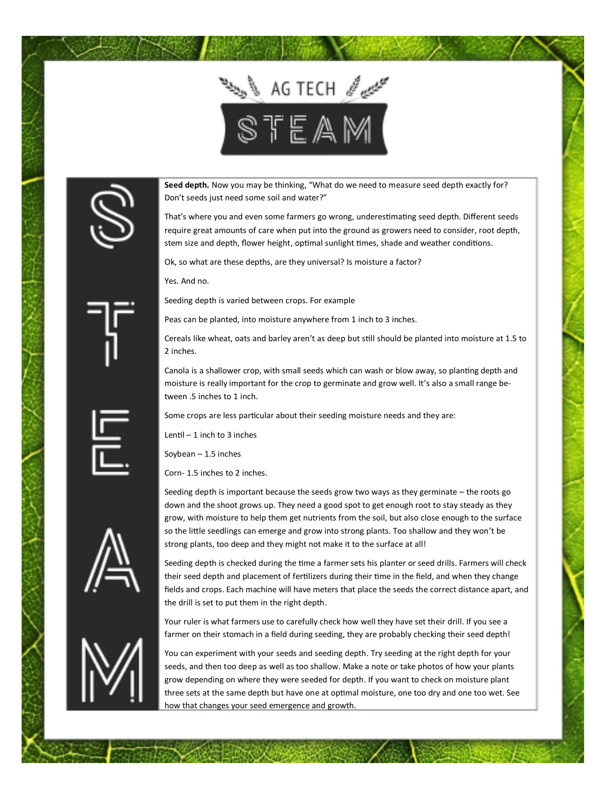

**Seed depth.** Now you may be thinking, "What do we need to measure seed depth exactly for? Don't seeds just need some soil and water?"

That's where you and even some farmers go wrong, underestimating seed depth. Different seeds require great amounts of care when put into the ground as growers need to consider, root depth, stem size and depth, flower height, optimal sunlight times, shade and weather conditions.

Ok, so what are these depths, are they universal? Is moisture a factor?

Yes. And no.

Seeding depth is varied between crops. For example

Peas can be planted, into moisture anywhere from 1 inch to 3 inches.

Cereals like wheat, oats and barley aren't as deep but still should be planted into moisture at 1.5 to 2 inches.

Canola is a shallower crop, with small seeds which can wash or blow away, so planting depth and moisture is really important for the crop to germinate and grow well. It's also a small range between .5 inches to 1 inch.

Some crops are less particular about their seeding moisture needs and they are:

Lentil  $-1$  inch to 3 inches

Soybean – 1.5 inches

Corn- 1.5 inches to 2 inches.

Seeding depth is important because the seeds grow two ways as they germinate – the roots go down and the shoot grows up. They need a good spot to get enough root to stay steady as they grow, with moisture to help them get nutrients from the soil, but also close enough to the surface so the little seedlings can emerge and grow into strong plants. Too shallow and they won't be strong plants, too deep and they might not make it to the surface at all!

Seeding depth is checked during the time a farmer sets his planter or seed drills. Farmers will check their seed depth and placement of fertilizers during their time in the field, and when they change fields and crops. Each machine will have meters that place the seeds the correct distance apart, and the drill is set to put them in the right depth.

Your ruler is what farmers use to carefully check how well they have set their drill. If you see a farmer on their stomach in a field during seeding, they are probably checking their seed depth!

You can experiment with your seeds and seeding depth. Try seeding at the right depth for your seeds, and then too deep as well as too shallow. Make a note or take photos of how your plants grow depending on where they were seeded for depth. If you want to check on moisture plant three sets at the same depth but have one at optimal moisture, one too dry and one too wet. See how that changes your seed emergence and growth.